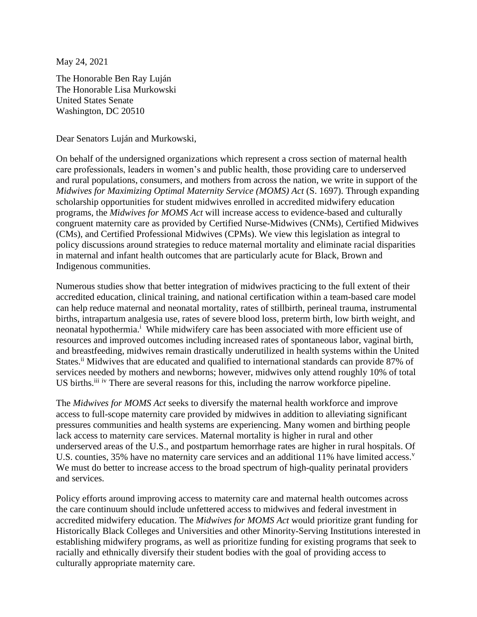May 24, 2021

The Honorable Ben Ray Luján The Honorable Lisa Murkowski United States Senate Washington, DC 20510

Dear Senators Luján and Murkowski,

On behalf of the undersigned organizations which represent a cross section of maternal health care professionals, leaders in women's and public health, those providing care to underserved and rural populations, consumers, and mothers from across the nation, we write in support of the *Midwives for Maximizing Optimal Maternity Service (MOMS) Act* (S. 1697). Through expanding scholarship opportunities for student midwives enrolled in accredited midwifery education programs, the *Midwives for MOMS Act* will increase access to evidence-based and culturally congruent maternity care as provided by Certified Nurse-Midwives (CNMs), Certified Midwives (CMs), and Certified Professional Midwives (CPMs). We view this legislation as integral to policy discussions around strategies to reduce maternal mortality and eliminate racial disparities in maternal and infant health outcomes that are particularly acute for Black, Brown and Indigenous communities.

Numerous studies show that better integration of midwives practicing to the full extent of their accredited education, clinical training, and national certification within a team-based care model can help reduce maternal and neonatal mortality, rates of stillbirth, perineal trauma, instrumental births, intrapartum analgesia use, rates of severe blood loss, preterm birth, low birth weight, and neonatal hypothermia.<sup>i</sup> While midwifery care has been associated with more efficient use of resources and improved outcomes including increased rates of spontaneous labor, vaginal birth, and breastfeeding, midwives remain drastically underutilized in health systems within the United States.<sup>ii</sup> Midwives that are educated and qualified to international standards can provide 87% of services needed by mothers and newborns; however, midwives only attend roughly 10% of total US births.<sup>iii iv</sup> There are several reasons for this, including the narrow workforce pipeline.

The *Midwives for MOMS Act* seeks to diversify the maternal health workforce and improve access to full-scope maternity care provided by midwives in addition to alleviating significant pressures communities and health systems are experiencing. Many women and birthing people lack access to maternity care services. Maternal mortality is higher in rural and other underserved areas of the U.S., and postpartum hemorrhage rates are higher in rural hospitals. Of U.S. counties,  $35\%$  have no maternity care services and an additional 11% have limited access.<sup>v</sup> We must do better to increase access to the broad spectrum of high-quality perinatal providers and services.

Policy efforts around improving access to maternity care and maternal health outcomes across the care continuum should include unfettered access to midwives and federal investment in accredited midwifery education. The *Midwives for MOMS Act* would prioritize grant funding for Historically Black Colleges and Universities and other Minority-Serving Institutions interested in establishing midwifery programs, as well as prioritize funding for existing programs that seek to racially and ethnically diversify their student bodies with the goal of providing access to culturally appropriate maternity care.